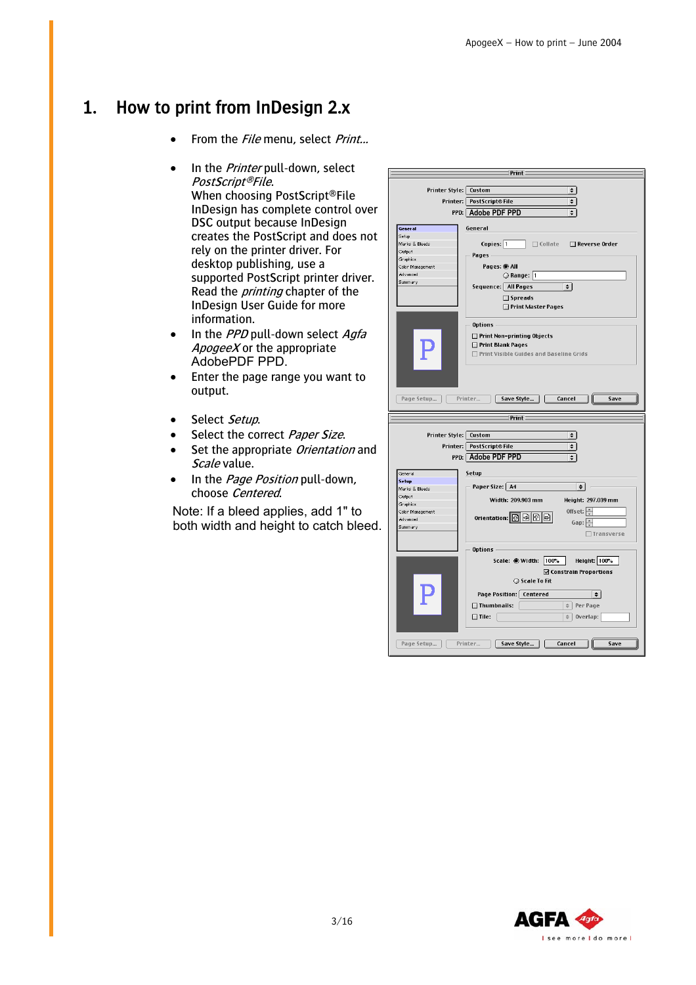## 1. How to print from InDesign 2.x

- From the *File* menu, select *Print...*
- In the *Printer* pull-down, select PostScript®File. When choosing PostScript®File InDesign has complete control over DSC output because InDesign creates the PostScript and does not rely on the printer driver. For desktop publishing, use a supported PostScript printer driver. Read the *printing* chapter of the InDesign User Guide for more information.
- $\bullet$  In the *PPD* pull-down select *Agfa ApogeeX* or the appropriate AdobePDF PPD.
- Enter the page range you want to output.
- Select Setup.
- Select the correct Paper Size.
- Set the appropriate Orientation and Scale value.
- In the *Page Position* pull-down, choose Centered.

Note: If a bleed applies, add 1" to both width and height to catch bleed.

| Print            |                                                      |  |  |  |
|------------------|------------------------------------------------------|--|--|--|
|                  |                                                      |  |  |  |
|                  | Printer Style: Custom<br>$\div$                      |  |  |  |
|                  |                                                      |  |  |  |
|                  | Printer: PostScript® File<br>$\div$                  |  |  |  |
|                  |                                                      |  |  |  |
|                  | PPD: Adobe PDF PPD<br>$\div$                         |  |  |  |
|                  |                                                      |  |  |  |
| General          | General                                              |  |  |  |
| Setup            |                                                      |  |  |  |
| Marks & Bleeds   | Copies: 1<br>$\Box$ Collate<br>Reverse Order         |  |  |  |
| Output           |                                                      |  |  |  |
| Graphics         | Pages -                                              |  |  |  |
|                  |                                                      |  |  |  |
| Color Management | Pages: @ All                                         |  |  |  |
| Advanced         | Range: 1                                             |  |  |  |
| Summary          | Sequence:   All Pages<br>$\div$                      |  |  |  |
|                  |                                                      |  |  |  |
|                  | $\square$ Spreads                                    |  |  |  |
|                  | Print Master Pages                                   |  |  |  |
|                  |                                                      |  |  |  |
|                  |                                                      |  |  |  |
|                  | Options -                                            |  |  |  |
|                  |                                                      |  |  |  |
|                  | Print Non-printing Objects                           |  |  |  |
|                  | Print Blank Pages                                    |  |  |  |
|                  | □ Print Visible Guides and Baseline Grids            |  |  |  |
|                  |                                                      |  |  |  |
|                  |                                                      |  |  |  |
|                  |                                                      |  |  |  |
|                  |                                                      |  |  |  |
|                  |                                                      |  |  |  |
|                  |                                                      |  |  |  |
| Page Setup       | Save Style<br>Cancel<br>Printer<br>Save              |  |  |  |
|                  |                                                      |  |  |  |
|                  |                                                      |  |  |  |
|                  |                                                      |  |  |  |
|                  | Print                                                |  |  |  |
|                  |                                                      |  |  |  |
|                  |                                                      |  |  |  |
|                  | Printer Style: Custom<br>$\div$                      |  |  |  |
|                  | Printer: PostScript® File<br>$\div$                  |  |  |  |
|                  |                                                      |  |  |  |
|                  | PPD: Adobe PDF PPD<br>÷                              |  |  |  |
|                  |                                                      |  |  |  |
| General          | Setup                                                |  |  |  |
| Setup            |                                                      |  |  |  |
| Marks & Bleeds   | Paper Size:   A4<br>$\div$                           |  |  |  |
| Output           |                                                      |  |  |  |
|                  | Height: 297.039 mm<br>Width: 209.903 mm              |  |  |  |
| Graphics         |                                                      |  |  |  |
| Color Management | Offset: $\left  \triangleq \right $                  |  |  |  |
| Advanced         | orientation:   예 画   메 圖<br>Gap: $\left \div\right $ |  |  |  |
| Summary          |                                                      |  |  |  |
|                  | Transverse                                           |  |  |  |
|                  |                                                      |  |  |  |
|                  | <b>Options</b>                                       |  |  |  |
|                  |                                                      |  |  |  |
|                  | Height: 100%<br>Scale: Width: 100%                   |  |  |  |
|                  | ☑ Constrain Proportions                              |  |  |  |
|                  |                                                      |  |  |  |
|                  | ○ Scale To Fit                                       |  |  |  |
|                  |                                                      |  |  |  |
|                  | Page Position:   Centered<br>$\div$                  |  |  |  |
|                  | $\Box$ Thumbnails:<br>Per Page<br>$\div$             |  |  |  |
|                  |                                                      |  |  |  |
|                  | $\Box$ Tile:<br>$\Rightarrow$<br>Overlap:            |  |  |  |
|                  |                                                      |  |  |  |
|                  |                                                      |  |  |  |
|                  |                                                      |  |  |  |
| Page Setup       | Printer<br>Save Style<br>Cancel<br>Save              |  |  |  |

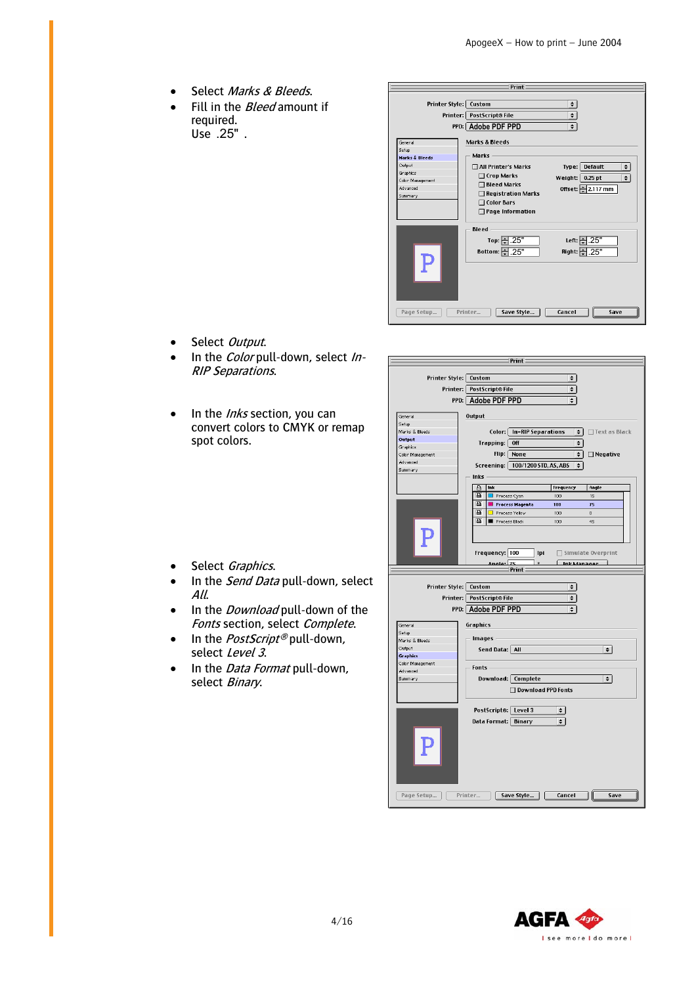- Select Marks & Bleeds.
- Fill in the *Bleed* amount if required. Use . .25"

 $\mathbf{r}$ 

 $\mathbb{I}$ 

|                                                                                                                | Print                                                                                                                                                                                           |                                                                                        |
|----------------------------------------------------------------------------------------------------------------|-------------------------------------------------------------------------------------------------------------------------------------------------------------------------------------------------|----------------------------------------------------------------------------------------|
|                                                                                                                | Printer Style:   Custom<br>Printer: PostScript® File<br>PPD: Adobe PDF PPD                                                                                                                      | $\div$<br>$\div$<br>$\div$                                                             |
| General<br>Setup<br><b>Marks &amp; Bleeds</b><br>Output<br>Graphics<br>Color Management<br>Advanced<br>Summary | <b>Marks &amp; Bleeds</b><br><b>Marks</b><br>□ All Printer's Marks<br>$\Box$ Crop Marks<br>$\Box$ Bleed Marks<br>$\Box$ Registration Marks<br><b>Color Bars</b><br>п<br>$\Box$ Page Information | ۱÷<br>Type: Default<br>ا⇒<br>Weight: $\vert 0.25$ pt<br>Offset: $\frac{1}{2}$ 2.117 mm |
| Page Setup                                                                                                     | <b>Bleed</b><br>Top: $\leftarrow$ .25"<br>Bottom: $\frac{25}{3}$ .25"<br>Save Style<br>Printer                                                                                                  | Left: - 25"<br>Right: 9.25"<br>Cancel<br>Save                                          |

 $Print$ 

- Select Output.
- In the *Color* pull-down, select In-RIP Separations.
- $\bullet$  In the *Inks* section, you can convert colors to CMYK or remap spot colors.

|                                | Printer Style:   Custom<br>÷                                                                                           |  |  |  |  |  |
|--------------------------------|------------------------------------------------------------------------------------------------------------------------|--|--|--|--|--|
|                                |                                                                                                                        |  |  |  |  |  |
| Printer: PostScript® File<br>≑ |                                                                                                                        |  |  |  |  |  |
| PPD: Adobe PDF PPD<br>$\div$   |                                                                                                                        |  |  |  |  |  |
| General                        | Output                                                                                                                 |  |  |  |  |  |
| Setup                          |                                                                                                                        |  |  |  |  |  |
| Marks & Bleeds                 | Color:   In-RIP Separations<br>$\div$<br>□ Text as Black                                                               |  |  |  |  |  |
| Output                         | Off<br>$\div$                                                                                                          |  |  |  |  |  |
| Graphics                       | Trapping:                                                                                                              |  |  |  |  |  |
| Color Management               | Flip:<br>None<br>÷١<br>$\Box$ Negative                                                                                 |  |  |  |  |  |
| Advanced                       | Screening:   100/1200 STD, AS, ABS<br>$\div$                                                                           |  |  |  |  |  |
| Summary                        | Inks -                                                                                                                 |  |  |  |  |  |
|                                | A<br>Ink<br>Frequency<br>Angle                                                                                         |  |  |  |  |  |
|                                | B<br>15<br>Process Cyan<br>100                                                                                         |  |  |  |  |  |
|                                | B<br><b>Process Magenta</b><br>100<br>75                                                                               |  |  |  |  |  |
|                                | A<br>Process Yellow<br>100<br>$\circ$                                                                                  |  |  |  |  |  |
|                                | 區<br>Process Black<br>100<br>45                                                                                        |  |  |  |  |  |
|                                |                                                                                                                        |  |  |  |  |  |
|                                |                                                                                                                        |  |  |  |  |  |
|                                |                                                                                                                        |  |  |  |  |  |
|                                | Frequency: 100<br>Ipi<br>□ Simulate Overprint                                                                          |  |  |  |  |  |
|                                | Angle: $\sqrt{75}$<br>$\circ$<br>Ink Manager                                                                           |  |  |  |  |  |
|                                | Print                                                                                                                  |  |  |  |  |  |
|                                | Printer Style:   Custom<br>÷<br>PostScript® File<br>$\overline{\bullet}$<br>Printer: I<br>PPD: Adobe PDF PPD<br>$\div$ |  |  |  |  |  |
| General                        | Graphics                                                                                                               |  |  |  |  |  |
| Setup                          |                                                                                                                        |  |  |  |  |  |
| Marks & Bleeds                 | <b>Images</b>                                                                                                          |  |  |  |  |  |
| Output                         | Send Data:   All<br>$\div$                                                                                             |  |  |  |  |  |
| <b>Graphics</b>                |                                                                                                                        |  |  |  |  |  |
| Color Management<br>Advanced   | <b>Fonts</b>                                                                                                           |  |  |  |  |  |
| Summary                        | Download:   Complete<br>$\div$                                                                                         |  |  |  |  |  |
|                                |                                                                                                                        |  |  |  |  |  |
|                                | □ Download PPD Fonts                                                                                                   |  |  |  |  |  |
|                                | PostScript®: Level 3<br>$\div$                                                                                         |  |  |  |  |  |
|                                |                                                                                                                        |  |  |  |  |  |
|                                | Data Format:  <br>Binary<br>$\div$                                                                                     |  |  |  |  |  |
|                                |                                                                                                                        |  |  |  |  |  |
| Page Setup                     | Save Style<br>Cancel<br>Save<br>Printer                                                                                |  |  |  |  |  |



- Select Graphics.
- In the *Send Data* pull-down, select All.
- In the *Download* pull-down of the Fonts section, select Complete.
- In the *PostScript®* pull-down, select Level 3.
- In the *Data Format* pull-down, select Binary.